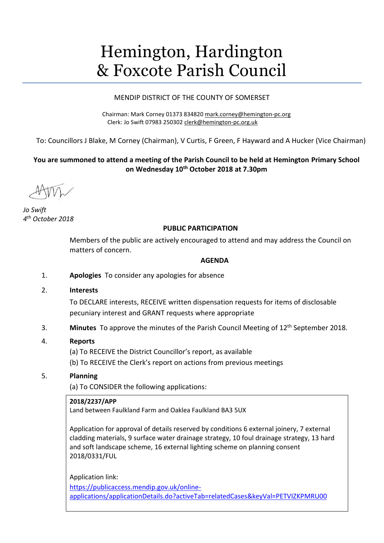# Hemington, Hardington & Foxcote Parish Council

## MENDIP DISTRICT OF THE COUNTY OF SOMERSET

Chairman: Mark Corney 01373 834820 [mark.corney@hemington-pc.org](mailto:mark.corney@hemington-pc.org) Clerk: Jo Swift 07983 250302 [clerk@hemington-pc.org.uk](mailto:clerk@hemington-pc.org.uk)

To: Councillors J Blake, M Corney (Chairman), V Curtis, F Green, F Hayward and A Hucker (Vice Chairman)

# **You are summoned to attend a meeting of the Parish Council to be held at Hemington Primary School on Wednesday 10th October 2018 at 7.30pm**

*Jo Swift 4 th October 2018*

## **PUBLIC PARTICIPATION**

Members of the public are actively encouraged to attend and may address the Council on matters of concern.

#### **AGENDA**

- 1. **Apologies** To consider any apologies for absence
- 2. **Interests**

To DECLARE interests, RECEIVE written dispensation requests for items of disclosable pecuniary interest and GRANT requests where appropriate

3. **Minutes** To approve the minutes of the Parish Council Meeting of 12th September 2018.

## 4. **Reports**

(a) To RECEIVE the District Councillor's report, as available

(b) To RECEIVE the Clerk's report on actions from previous meetings

## 5. **Planning**

(a) To CONSIDER the following applications:

## **2018/2237/APP**

Land between Faulkland Farm and Oaklea Faulkland BA3 5UX

Application for approval of details reserved by conditions 6 external joinery, 7 external cladding materials, 9 surface water drainage strategy, 10 foul drainage strategy, 13 hard and soft landscape scheme, 16 external lighting scheme on planning consent 2018/0331/FUL

Application link:

[https://publicaccess.mendip.gov.uk/online](https://publicaccess.mendip.gov.uk/online-applications/applicationDetails.do?activeTab=relatedCases&keyVal=PETVIZKPMRU00)[applications/applicationDetails.do?activeTab=relatedCases&keyVal=PETVIZKPMRU00](https://publicaccess.mendip.gov.uk/online-applications/applicationDetails.do?activeTab=relatedCases&keyVal=PETVIZKPMRU00)